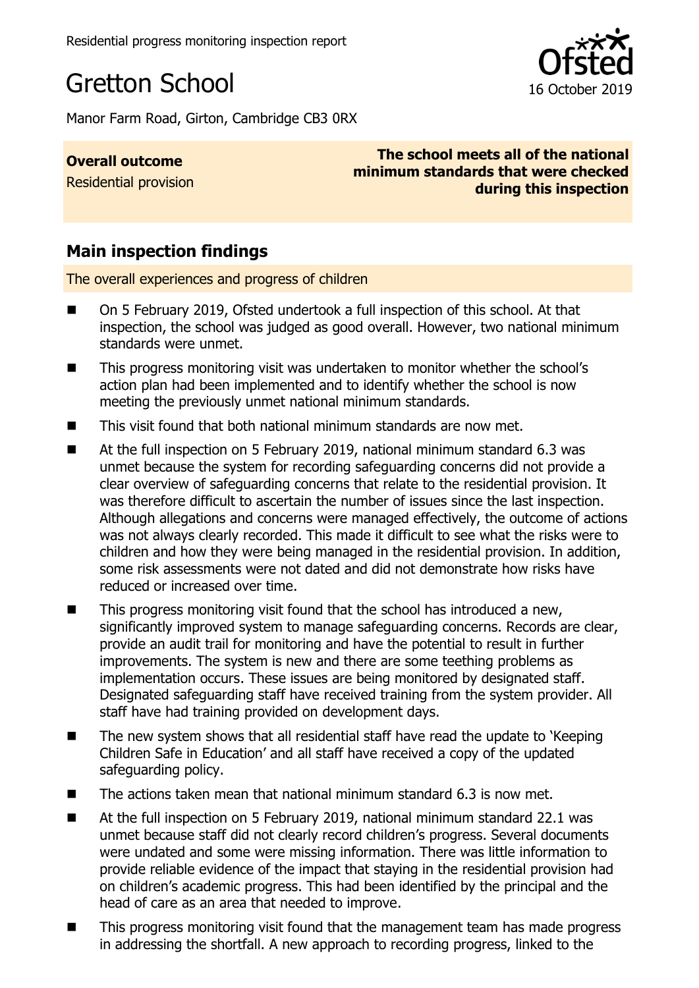

Manor Farm Road, Girton, Cambridge CB3 0RX

**Overall outcome** Residential provision

**The school meets all of the national minimum standards that were checked during this inspection**

# **Main inspection findings**

The overall experiences and progress of children

- On 5 February 2019, Ofsted undertook a full inspection of this school. At that inspection, the school was judged as good overall. However, two national minimum standards were unmet.
- This progress monitoring visit was undertaken to monitor whether the school's action plan had been implemented and to identify whether the school is now meeting the previously unmet national minimum standards.
- This visit found that both national minimum standards are now met.
- At the full inspection on 5 February 2019, national minimum standard 6.3 was unmet because the system for recording safeguarding concerns did not provide a clear overview of safeguarding concerns that relate to the residential provision. It was therefore difficult to ascertain the number of issues since the last inspection. Although allegations and concerns were managed effectively, the outcome of actions was not always clearly recorded. This made it difficult to see what the risks were to children and how they were being managed in the residential provision. In addition, some risk assessments were not dated and did not demonstrate how risks have reduced or increased over time.
- This progress monitoring visit found that the school has introduced a new, significantly improved system to manage safeguarding concerns. Records are clear, provide an audit trail for monitoring and have the potential to result in further improvements. The system is new and there are some teething problems as implementation occurs. These issues are being monitored by designated staff. Designated safeguarding staff have received training from the system provider. All staff have had training provided on development days.
- $\blacksquare$  The new system shows that all residential staff have read the update to 'Keeping Children Safe in Education' and all staff have received a copy of the updated safeguarding policy.
- The actions taken mean that national minimum standard 6.3 is now met.
- At the full inspection on 5 February 2019, national minimum standard 22.1 was unmet because staff did not clearly record children's progress. Several documents were undated and some were missing information. There was little information to provide reliable evidence of the impact that staying in the residential provision had on children's academic progress. This had been identified by the principal and the head of care as an area that needed to improve.
- This progress monitoring visit found that the management team has made progress in addressing the shortfall. A new approach to recording progress, linked to the

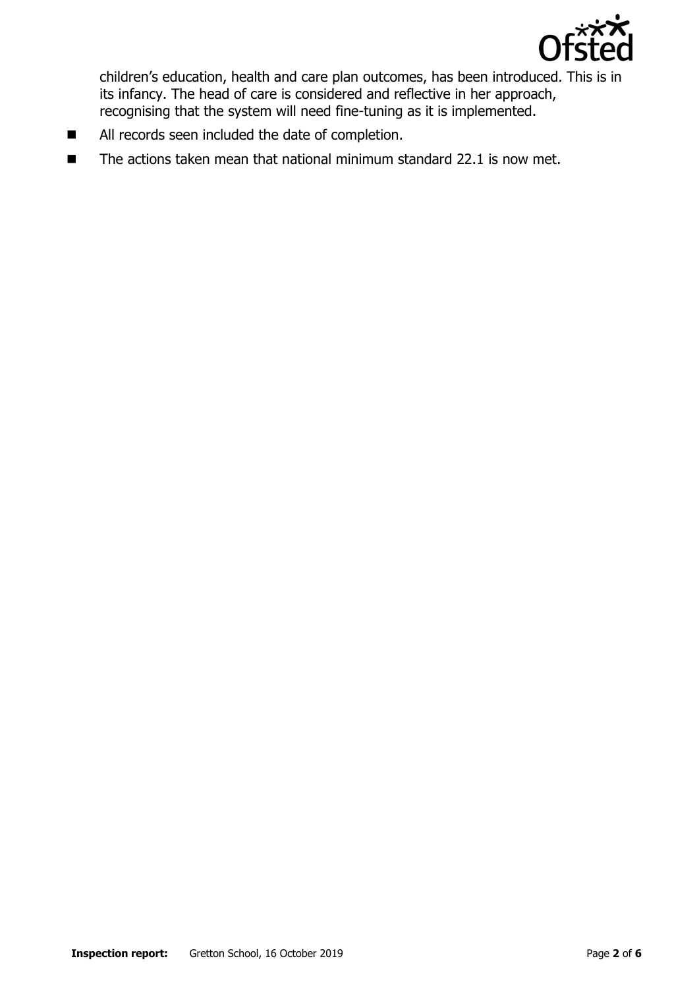

children's education, health and care plan outcomes, has been introduced. This is in its infancy. The head of care is considered and reflective in her approach, recognising that the system will need fine-tuning as it is implemented.

- All records seen included the date of completion.
- $\blacksquare$  The actions taken mean that national minimum standard 22.1 is now met.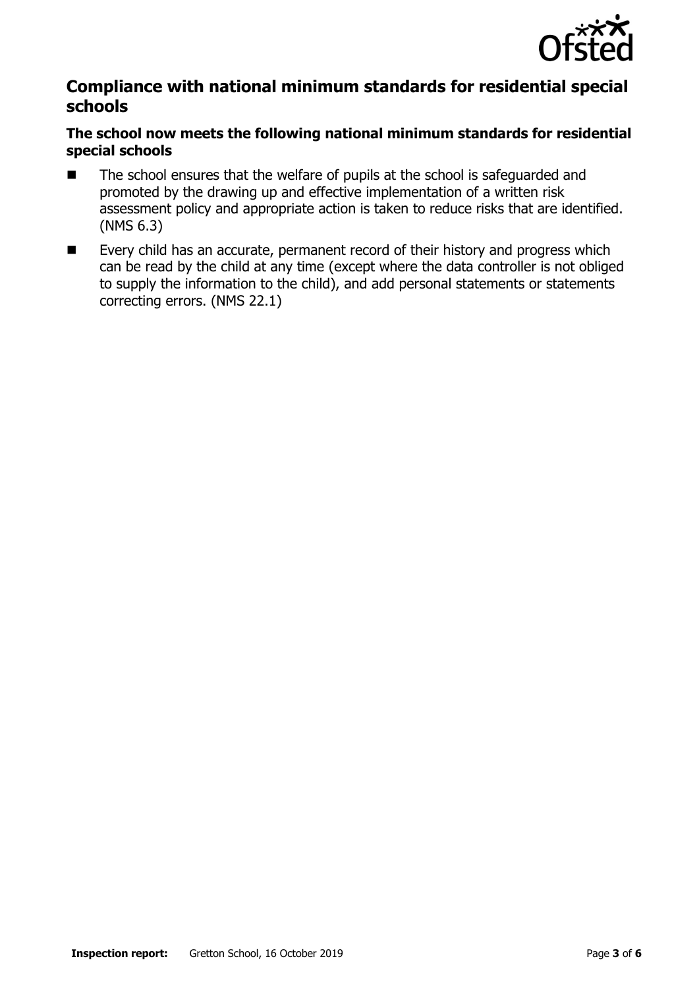

### **Compliance with national minimum standards for residential special schools**

### **The school now meets the following national minimum standards for residential special schools**

- The school ensures that the welfare of pupils at the school is safeguarded and promoted by the drawing up and effective implementation of a written risk assessment policy and appropriate action is taken to reduce risks that are identified. (NMS 6.3)
- Every child has an accurate, permanent record of their history and progress which can be read by the child at any time (except where the data controller is not obliged to supply the information to the child), and add personal statements or statements correcting errors. (NMS 22.1)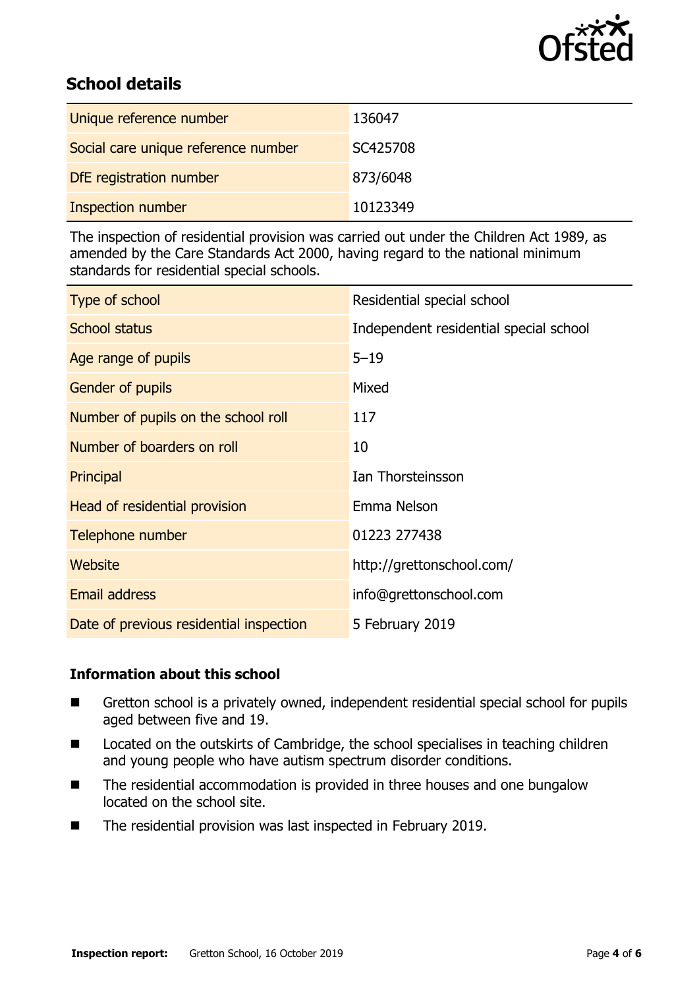

# **School details**

| Unique reference number             | 136047   |
|-------------------------------------|----------|
| Social care unique reference number | SC425708 |
| DfE registration number             | 873/6048 |
| <b>Inspection number</b>            | 10123349 |

The inspection of residential provision was carried out under the Children Act 1989, as amended by the Care Standards Act 2000, having regard to the national minimum standards for residential special schools.

| Type of school                          | Residential special school             |
|-----------------------------------------|----------------------------------------|
| <b>School status</b>                    | Independent residential special school |
| Age range of pupils                     | $5 - 19$                               |
| Gender of pupils                        | Mixed                                  |
| Number of pupils on the school roll     | 117                                    |
| Number of boarders on roll              | 10                                     |
| Principal                               | Ian Thorsteinsson                      |
| Head of residential provision           | Emma Nelson                            |
| Telephone number                        | 01223 277438                           |
| Website                                 | http://grettonschool.com/              |
| <b>Email address</b>                    | info@grettonschool.com                 |
| Date of previous residential inspection | 5 February 2019                        |

### **Information about this school**

- Gretton school is a privately owned, independent residential special school for pupils aged between five and 19.
- Located on the outskirts of Cambridge, the school specialises in teaching children and young people who have autism spectrum disorder conditions.
- The residential accommodation is provided in three houses and one bungalow located on the school site.
- The residential provision was last inspected in February 2019.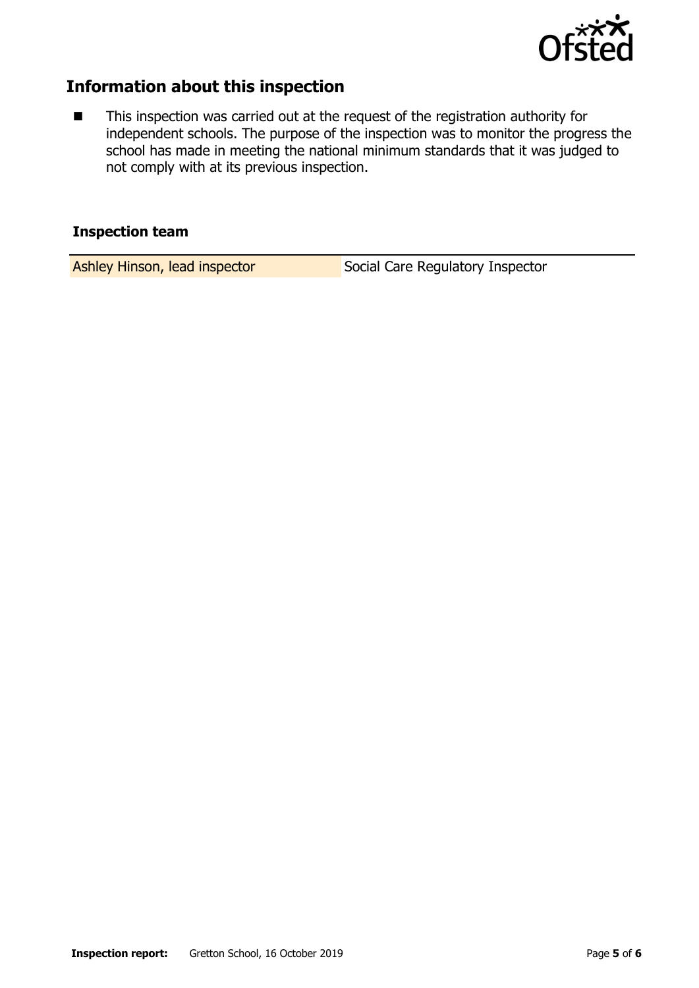

### **Information about this inspection**

■ This inspection was carried out at the request of the registration authority for independent schools. The purpose of the inspection was to monitor the progress the school has made in meeting the national minimum standards that it was judged to not comply with at its previous inspection.

#### **Inspection team**

Ashley Hinson, lead inspector Social Care Regulatory Inspector